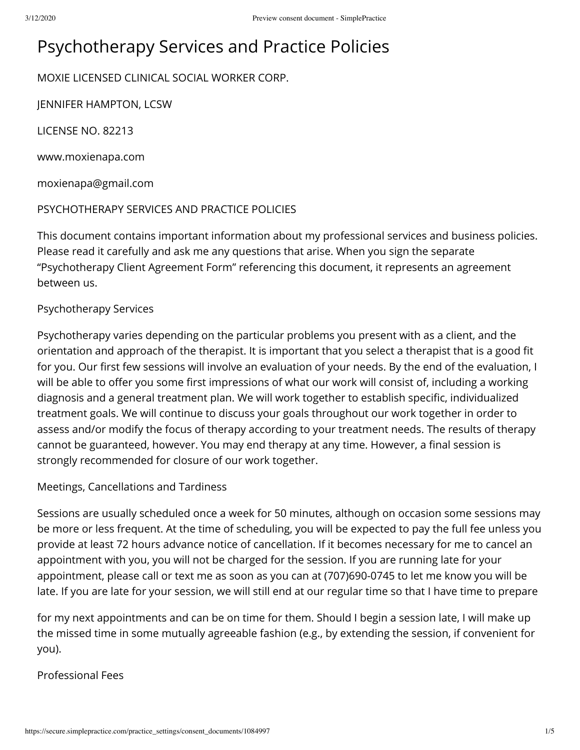# Psychotherapy Services and Practice Policies

MOXIE LICENSED CLINICAL SOCIAL WORKER CORP.

JENNIFER HAMPTON, LCSW

LICENSE NO. 82213

www.moxienapa.com

moxienapa@gmail.com

PSYCHOTHERAPY SERVICES AND PRACTICE POLICIES

This document contains important information about my professional services and business policies. Please read it carefully and ask me any questions that arise. When you sign the separate "Psychotherapy Client Agreement Form" referencing this document, it represents an agreement between us.

#### Psychotherapy Services

Psychotherapy varies depending on the particular problems you present with as a client, and the orientation and approach of the therapist. It is important that you select a therapist that is a good t for you. Our first few sessions will involve an evaluation of your needs. By the end of the evaluation, I will be able to offer you some first impressions of what our work will consist of, including a working diagnosis and a general treatment plan. We will work together to establish specific, individualized treatment goals. We will continue to discuss your goals throughout our work together in order to assess and/or modify the focus of therapy according to your treatment needs. The results of therapy cannot be guaranteed, however. You may end therapy at any time. However, a final session is strongly recommended for closure of our work together.

#### Meetings, Cancellations and Tardiness

Sessions are usually scheduled once a week for 50 minutes, although on occasion some sessions may be more or less frequent. At the time of scheduling, you will be expected to pay the full fee unless you provide at least 72 hours advance notice of cancellation. If it becomes necessary for me to cancel an appointment with you, you will not be charged for the session. If you are running late for your appointment, please call or text me as soon as you can at (707)690-0745 to let me know you will be late. If you are late for your session, we will still end at our regular time so that I have time to prepare

for my next appointments and can be on time for them. Should I begin a session late, I will make up the missed time in some mutually agreeable fashion (e.g., by extending the session, if convenient for you).

#### Professional Fees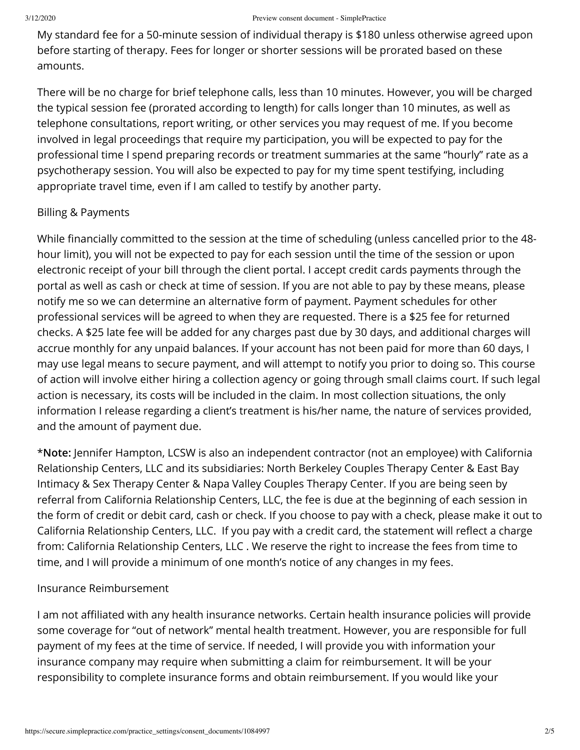My standard fee for a 50-minute session of individual therapy is \$180 unless otherwise agreed upon before starting of therapy. Fees for longer or shorter sessions will be prorated based on these amounts.

There will be no charge for brief telephone calls, less than 10 minutes. However, you will be charged the typical session fee (prorated according to length) for calls longer than 10 minutes, as well as telephone consultations, report writing, or other services you may request of me. If you become involved in legal proceedings that require my participation, you will be expected to pay for the professional time I spend preparing records or treatment summaries at the same "hourly" rate as a psychotherapy session. You will also be expected to pay for my time spent testifying, including appropriate travel time, even if I am called to testify by another party.

# Billing & Payments

While financially committed to the session at the time of scheduling (unless cancelled prior to the 48hour limit), you will not be expected to pay for each session until the time of the session or upon electronic receipt of your bill through the client portal. I accept credit cards payments through the portal as well as cash or check at time of session. If you are not able to pay by these means, please notify me so we can determine an alternative form of payment. Payment schedules for other professional services will be agreed to when they are requested. There is a \$25 fee for returned checks. A \$25 late fee will be added for any charges past due by 30 days, and additional charges will accrue monthly for any unpaid balances. If your account has not been paid for more than 60 days, I may use legal means to secure payment, and will attempt to notify you prior to doing so. This course of action will involve either hiring a collection agency or going through small claims court. If such legal action is necessary, its costs will be included in the claim. In most collection situations, the only information I release regarding a client's treatment is his/her name, the nature of services provided, and the amount of payment due.

\***Note:** Jennifer Hampton, LCSW is also an independent contractor (not an employee) with California Relationship Centers, LLC and its subsidiaries: North Berkeley Couples Therapy Center & East Bay Intimacy & Sex Therapy Center & Napa Valley Couples Therapy Center. If you are being seen by referral from California Relationship Centers, LLC, the fee is due at the beginning of each session in the form of credit or debit card, cash or check. If you choose to pay with a check, please make it out to California Relationship Centers, LLC. If you pay with a credit card, the statement will reflect a charge from: California Relationship Centers, LLC . We reserve the right to increase the fees from time to time, and I will provide a minimum of one month's notice of any changes in my fees.

# Insurance Reimbursement

I am not affiliated with any health insurance networks. Certain health insurance policies will provide some coverage for "out of network" mental health treatment. However, you are responsible for full payment of my fees at the time of service. If needed, I will provide you with information your insurance company may require when submitting a claim for reimbursement. It will be your responsibility to complete insurance forms and obtain reimbursement. If you would like your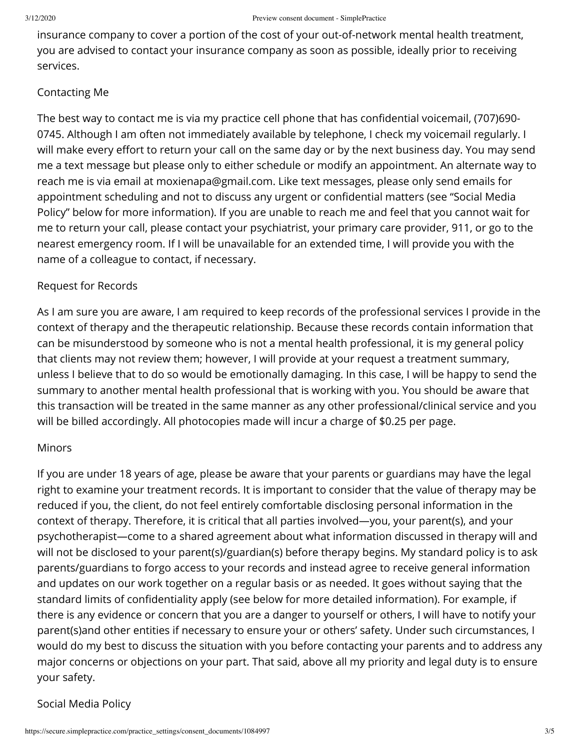insurance company to cover a portion of the cost of your out-of-network mental health treatment, you are advised to contact your insurance company as soon as possible, ideally prior to receiving services.

### Contacting Me

The best way to contact me is via my practice cell phone that has confidential voicemail, (707)690-0745. Although I am often not immediately available by telephone, I check my voicemail regularly. I will make every effort to return your call on the same day or by the next business day. You may send me a text message but please only to either schedule or modify an appointment. An alternate way to reach me is via email at moxienapa@gmail.com. Like text messages, please only send emails for appointment scheduling and not to discuss any urgent or confidential matters (see "Social Media Policy" below for more information). If you are unable to reach me and feel that you cannot wait for me to return your call, please contact your psychiatrist, your primary care provider, 911, or go to the nearest emergency room. If I will be unavailable for an extended time, I will provide you with the name of a colleague to contact, if necessary.

#### Request for Records

As I am sure you are aware, I am required to keep records of the professional services I provide in the context of therapy and the therapeutic relationship. Because these records contain information that can be misunderstood by someone who is not a mental health professional, it is my general policy that clients may not review them; however, I will provide at your request a treatment summary, unless I believe that to do so would be emotionally damaging. In this case, I will be happy to send the summary to another mental health professional that is working with you. You should be aware that this transaction will be treated in the same manner as any other professional/clinical service and you will be billed accordingly. All photocopies made will incur a charge of \$0.25 per page.

#### Minors

If you are under 18 years of age, please be aware that your parents or guardians may have the legal right to examine your treatment records. It is important to consider that the value of therapy may be reduced if you, the client, do not feel entirely comfortable disclosing personal information in the context of therapy. Therefore, it is critical that all parties involved—you, your parent(s), and your psychotherapist—come to a shared agreement about what information discussed in therapy will and will not be disclosed to your parent(s)/guardian(s) before therapy begins. My standard policy is to ask parents/guardians to forgo access to your records and instead agree to receive general information and updates on our work together on a regular basis or as needed. It goes without saying that the standard limits of confidentiality apply (see below for more detailed information). For example, if there is any evidence or concern that you are a danger to yourself or others, I will have to notify your parent(s)and other entities if necessary to ensure your or others' safety. Under such circumstances, I would do my best to discuss the situation with you before contacting your parents and to address any major concerns or objections on your part. That said, above all my priority and legal duty is to ensure your safety.

# Social Media Policy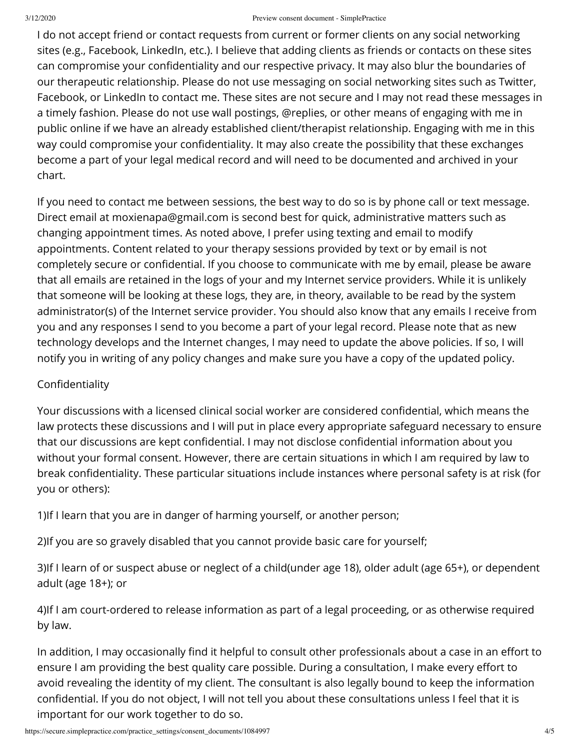#### 3/12/2020 Preview consent document - SimplePractice

I do not accept friend or contact requests from current or former clients on any social networking sites (e.g., Facebook, LinkedIn, etc.). I believe that adding clients as friends or contacts on these sites can compromise your confidentiality and our respective privacy. It may also blur the boundaries of our therapeutic relationship. Please do not use messaging on social networking sites such as Twitter, Facebook, or LinkedIn to contact me. These sites are not secure and I may not read these messages in a timely fashion. Please do not use wall postings, @replies, or other means of engaging with me in public online if we have an already established client/therapist relationship. Engaging with me in this way could compromise your confidentiality. It may also create the possibility that these exchanges become a part of your legal medical record and will need to be documented and archived in your chart.

If you need to contact me between sessions, the best way to do so is by phone call or text message. Direct email at moxienapa@gmail.com is second best for quick, administrative matters such as changing appointment times. As noted above, I prefer using texting and email to modify appointments. Content related to your therapy sessions provided by text or by email is not completely secure or confidential. If you choose to communicate with me by email, please be aware that all emails are retained in the logs of your and my Internet service providers. While it is unlikely that someone will be looking at these logs, they are, in theory, available to be read by the system administrator(s) of the Internet service provider. You should also know that any emails I receive from you and any responses I send to you become a part of your legal record. Please note that as new technology develops and the Internet changes, I may need to update the above policies. If so, I will notify you in writing of any policy changes and make sure you have a copy of the updated policy.

# Confidentiality

Your discussions with a licensed clinical social worker are considered confidential, which means the law protects these discussions and I will put in place every appropriate safeguard necessary to ensure that our discussions are kept confidential. I may not disclose confidential information about you without your formal consent. However, there are certain situations in which I am required by law to break confidentiality. These particular situations include instances where personal safety is at risk (for you or others):

1)If I learn that you are in danger of harming yourself, or another person;

2)If you are so gravely disabled that you cannot provide basic care for yourself;

3)If I learn of or suspect abuse or neglect of a child(under age 18), older adult (age 65+), or dependent adult (age 18+); or

4)If I am court-ordered to release information as part of a legal proceeding, or as otherwise required by law.

In addition, I may occasionally find it helpful to consult other professionals about a case in an effort to ensure I am providing the best quality care possible. During a consultation, I make every effort to avoid revealing the identity of my client. The consultant is also legally bound to keep the information confidential. If you do not object, I will not tell you about these consultations unless I feel that it is important for our work together to do so.